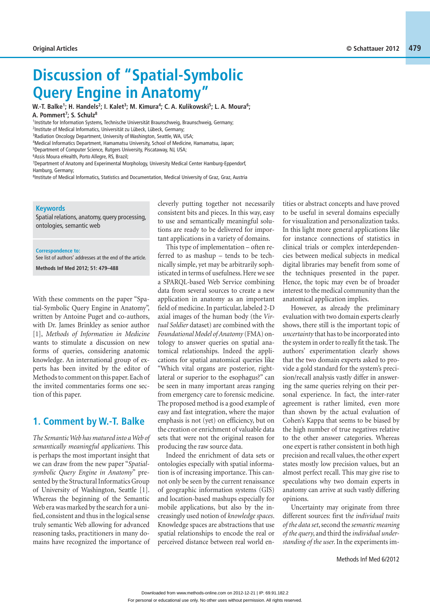# **Discussion of "Spatial-Symbolic Query Engine in Anatomy"**

W.-T. Balke<sup>1</sup>; H. Handels<sup>2</sup>; I. Kalet<sup>3</sup>; M. Kimura<sup>4</sup>; C. A. Kulikowski<sup>5</sup>; L. A. Moura<sup>6</sup>; A. Pommert<sup>7</sup>; S. Schulz<sup>8</sup>

<sup>1</sup>Institute for Information Systems, Technische Universität Braunschweig, Braunschweig, Germany;<br><sup>2</sup>Institute of Medical Informatics Universität zu Lübeck, Lübeck, Germany;

<sup>2</sup>Institute of Medical Informatics, Universität zu Lübeck, Lübeck, Germany;<br><sup>3</sup>Radiation Oncology Department, University of Washington, Seattle, WA, USA;

<sup>3</sup>Radiation Oncology Department, University of Washington, Seattle, WA, USA;<br><sup>4</sup>Medical Informatics Department, Hamamatsu University, School of Medicine, I

<sup>4</sup>Medical Informatics Department, Hamamatsu University, School of Medicine, Hamamatsu, Japan;<br><sup>5</sup>Department of Computer Science, Rutgers University, Piscataway, NJ, USA:

<sup>5</sup>Department of Computer Science, Rutgers University, Piscataway, NJ, USA;

6 Assis Moura eHealth, Porto Allegre, RS, Brazil;

7 Department of Anatomy and Experimental Morphology, University Medical Center Hamburg-Eppendorf, Hamburg, Germany;

<sup>8</sup>Institute of Medical Informatics, Statistics and Documentation, Medical University of Graz, Graz, Austria

#### **Keywords**

Spatial relations, anatomy, query processing, ontologies, semantic web

**Correspondence to:** 

See list of authors' addresses at the end of the article. **Methods Inf Med 2012; 51: 479–488**

With these comments on the paper "Spatial-Symbolic Query Engine in Anatomy", written by Antoine Puget and co-authors, with Dr. James Brinkley as senior author [1], *Methods of Information in Medicine* wants to stimulate a discussion on new forms of queries, considering anatomic knowledge. An international group of experts has been invited by the editor of Methods to comment on this paper. Each of the invited commentaries forms one section of this paper.

## **1.Comment by W.-T. Balke**

*The Semantic Web has matured into a Web of semantically meaningful applications.* This is perhaps the most important insight that we can draw from the new paper "*Spatialsymbolic Query Engine in Anatomy*" presented by the Structural Informatics Group of University of Washington, Seattle [1]. Whereas the beginning of the Semantic Web era was marked by the search for a unified, consistent and thus in the logical sense truly semantic Web allowing for advanced reasoning tasks, practitioners in many domains have recognized the importance of

cleverly putting together not necessarily consistent bits and pieces. In this way, easy to use and semantically meaningful solutions are ready to be delivered for important applications in a variety of domains.

This type of implementation – often referred to as mashup – tends to be technically simple, yet may be arbitrarily sophisticated in terms of usefulness. Here we see a SPARQL-based Web Service combining data from several sources to create a new application in anatomy as an important field of medicine. In particular, labeled 2-D axial images of the human body (the *Virtual Soldier* dataset) are combined with the *Foundational Model of Anatomy* (FMA) ontology to answer queries on spatial anatomical relationships. Indeed the applications for spatial anatomical queries like "Which vital organs are posterior, right lateral or superior to the esophagus?" can be seen in many important areas ranging from emergency care to forensic medicine. The proposed method is a good example of easy and fast integration, where the major emphasis is not (yet) on efficiency, but on the creation or enrichment of valuable data sets that were not the original reason for

Indeed the enrichment of data sets or ontologies especially with spatial information is of increasing importance. This cannot only be seen by the current renaissance of geographic information systems (GIS) and location-based mashups especially for mobile applications, but also by the increasingly used notion of *knowledge spaces*. Knowledge spaces are abstractions that use spatial relationships to encode the real or perceived distance between real world en-

producing the raw source data.

tities or abstract concepts and have proved to be useful in several domains especially for visualization and personalization tasks. In this light more general applications like for instance connections of statistics in clinical trials or complex interdependencies between medical subjects in medical digital libraries may benefit from some of the techniques presented in the paper. Hence, the topic may even be of broader interest to the medical community than the anatomical application implies.

However, as already the preliminary evaluation with two domain experts clearly shows, there still is the important topic of *uncertainty* that has to be incorporated into the system in order to really fit the task. The authors' experimentation clearly shows that the two domain experts asked to provide a gold standard for the system's precision/recall analysis vastly differ in answering the same queries relying on their personal experience. In fact, the inter-rater agreement is rather limited, even more than shown by the actual evaluation of Cohen's Kappa that seems to be biased by the high number of true negatives relative to the other answer categories. Whereas one expert is rather consistent in both high precision and recall values, the other expert states mostly low precision values, but an almost perfect recall. This may give rise to speculations why two domain experts in anatomy can arrive at such vastly differing opinions.

Uncertainty may originate from three different sources: first t*he individual traits of the data set*, second the *semantic meaning of the query*, and third the *individual understanding of the user*. In the experiments im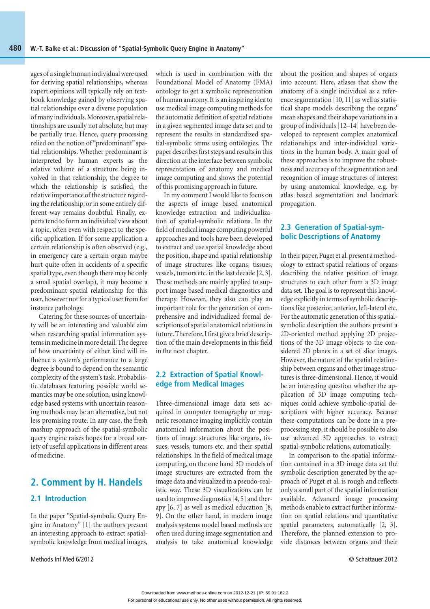ages of a single human individual were used for deriving spatial relationships, whereas expert opinions will typically rely on textbook knowledge gained by observing spatial relationships over a diverse population of many individuals. Moreover, spatial relationships are usually not absolute, but may be partially true. Hence, query processing relied on the notion of "predominant" spatial relationships. Whether predominant is interpreted by human experts as the relative volume of a structure being involved in that relationship, the degree to which the relationship is satisfied, the relative importance of the structure regarding the relationship, or in some entirely different way remains doubtful. Finally, experts tend to form an individual view about a topic, often even with respect to the specific application. If for some application a certain relationship is often observed (e.g., in emergency care a certain organ maybe hurt quite often in accidents of a specific spatial type, even though there may be only a small spatial overlap), it may become a predominant spatial relationship for this user, however not for a typical user from for instance pathology.

Catering for these sources of uncertainty will be an interesting and valuable aim when researching spatial information systems in medicine in more detail. The degree of how uncertainty of either kind will influence a system's performance to a large degree is bound to depend on the semantic complexity of the system's task. Probabilistic databases featuring possible world semantics may be one solution, using knowledge based systems with uncertain reasoning methods may be an alternative, but not less promising route. In any case, the fresh mashup approach of the spatial-symbolic query engine raises hopes for a broad variety of useful applications in different areas of medicine.

# **2. Comment by H. Handels**

#### **2.1 Introduction**

In the paper "Spatial-symbolic Query Engine in Anatomy" [1] the authors present an interesting approach to extract spatialsymbolic knowledge from medical images,

Methods Inf Med 6/2012 © Schattauer 2012

which is used in combination with the Foundational Model of Anatomy (FMA) ontology to get a symbolic representation of human anatomy. It is an inspiring idea to use medical image computing methods for the automatic definition of spatial relations in a given segmented image data set and to represent the results in standardized spatial-symbolic terms using ontologies. The paper describes first steps and results in this direction at the interface between symbolic representation of anatomy and medical image computing and shows the potential of this promising approach in future.

In my comment I would like to focus on the aspects of image based anatomical knowledge extraction and individualization of spatial-symbolic relations. In the field of medical image computing powerful approaches and tools have been developed to extract and use spatial knowledge about the position, shape and spatial relationship of image structures like organs, tissues, vessels, tumors etc. in the last decade [2, 3]. These methods are mainly applied to support image based medical diagnostics and therapy. However, they also can play an important role for the generation of comprehensive and individualized formal descriptions of spatial anatomical relations in future. Therefore, I first give a brief description of the main developments in this field in the next chapter.

#### **2.2 Extraction of Spatial Knowl edge from Medical Images**

Three-dimensional image data sets acquired in computer tomography or magnetic resonance imaging implicitly contain anatomical information about the positions of image structures like organs, tissues, vessels, tumors etc. and their spatial relationships. In the field of medical image computing, on the one hand 3D models of image structures are extracted from the image data and visualized in a pseudo-realistic way. These 3D visualizations can be used to improve diagnostics [4, 5] and therapy [6, 7] as well as medical education [8, 9]. On the other hand, in modern image analysis systems model based methods are often used during image segmentation and analysis to take anatomical knowledge

about the position and shapes of organs into account. Here, atlases that show the anatomy of a single individual as a reference segmentation [10, 11] as well as statistical shape models describing the organs' mean shapes and their shape variations in a group of individuals [12–14] have been developed to represent complex anatomical relationships and inter-individual variations in the human body. A main goal of these approaches is to improve the robustness and accuracy of the segmentation and recognition of image structures of interest by using anatomical knowledge, e.g. by atlas based segmentation and landmark propagation.

#### **2.3 Generation of Spatial-symbolic Descriptions of Anatomy**

In their paper, Puget et al. present a methodology to extract spatial relations of organs describing the relative position of image structures to each other from a 3D image data set. The goal is to represent this knowledge explicitly in terms of symbolic descriptions like posterior, anterior, left-lateral etc. For the automatic generation of this spatialsymbolic description the authors present a 2D-oriented method applying 2D projections of the 3D image objects to the considered 2D planes in a set of slice images. However, the nature of the spatial relationship between organs and other image structures is three-dimensional. Hence, it would be an interesting question whether the application of 3D image computing techniques could achieve symbolic-spatial descriptions with higher accuracy. Because these computations can be done in a preprocessing step, it should be possible to also use advanced 3D approaches to extract spatial-symbolic relations, automatically.

In comparison to the spatial information contained in a 3D image data set the symbolic description generated by the approach of Puget et al. is rough and reflects only a small part of the spatial information available. Advanced image processing methods enable to extract further information on spatial relations and quantitative spatial parameters, automatically [2, 3]. Therefore, the planned extension to provide distances between organs and their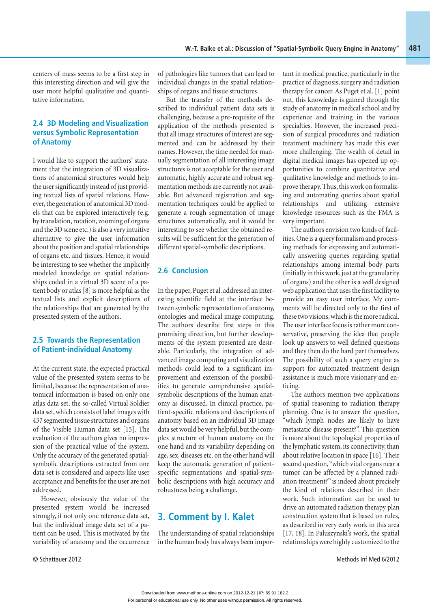centers of mass seems to be a first step in this interesting direction and will give the user more helpful qualitative and quantitative information.

#### **2.4 3D Modeling and Visualization versus Symbolic Representation of Anatomy**

I would like to support the authors' statement that the integration of 3D visualizations of anatomical structures would help the user significantly instead of just providing textual lists of spatial relations. However, the generation of anatomical 3D models that can be explored interactively (e.g. by translation, rotation, zooming of organs and the 3D scene etc.) is also a very intuitive alternative to give the user information about the position and spatial relationships of organs etc. and tissues. Hence, it would be interesting to see whether the implicitly modeled knowledge on spatial relationships coded in a virtual 3D scene of a patient body or atlas [8] is more helpful as the textual lists and explicit descriptions of the relationships that are generated by the presented system of the authors.

#### **2.5 Towards the Representation of Patient-individual Anatomy**

At the current state, the expected practical value of the presented system seems to be limited, because the representation of anatomical information is based on only one atlas data set, the so-called Virtual Soldier data set, which consists of label images with 437 segmented tissue structures and organs of the Visible Human data set [15]. The evaluation of the authors gives no impression of the practical value of the system. Only the accuracy of the generated spatialsymbolic descriptions extracted from one data set is considered and aspects like user acceptance and benefits for the user are not addressed.

However, obviously the value of the presented system would be increased strongly, if not only one reference data set, but the individual image data set of a patient can be used. This is motivated by the variability of anatomy and the occurrence of pathologies like tumors that can lead to individual changes in the spatial relationships of organs and tissue structures.

But the transfer of the methods described to individual patient data sets is challenging, because a pre-requisite of the application of the methods presented is that all image structures of interest are segmented and can be addressed by their names. However, the time needed for manually segmentation of all interesting image structures is not acceptable for the user and automatic, highly accurate and robust segmentation methods are currently not available. But advanced registration and segmentation techniques could be applied to generate a rough segmentation of image structures automatically, and it would be interesting to see whether the obtained results will be sufficient for the generation of different spatial-symbolic descriptions.

#### **2.6 Conclusion**

In the paper, Puget et al. addressed an interesting scientific field at the interface between symbolic representation of anatomy, ontologies and medical image computing. The authors describe first steps in this promising direction, but further developments of the system presented are desirable. Particularly, the integration of advanced image computing and visualization methods could lead to a significant improvement and extension of the possibilities to generate comprehensive spatialsymbolic descriptions of the human anatomy as discussed. In clinical practice, patient-specific relations and descriptions of anatomy based on an individual 3D image data set would be very helpful, but the complex structure of human anatomy on the one hand and its variability depending on age, sex, diseases etc. on the other hand will keep the automatic generation of patientspecific segmentations and spatial-symbolic descriptions with high accuracy and robustness being a challenge.

# **3. Comment by I. Kalet**

The understanding of spatial relationships in the human body has always been important in medical practice, particularly in the practice of diagnosis, surgery and radiation therapy for cancer. As Puget et al. [1] point out, this knowledge is gained through the study of anatomy in medical school and by experience and training in the various specialties. However, the increased precision of surgical procedures and radiation treatment machinery has made this ever more challenging. The wealth of detail in digital medical images has opened up opportunities to combine quantitative and qualitative knowledge and methods to improve therapy. Thus, this work on formalizing and automating queries about spatial relationships and utilizing extensive knowledge resources such as the FMA is very important.

The authors envision two kinds of facilities. One is a query formalism and processing methods for expressing and automatically answering queries regarding spatial relationships among internal body parts (initially in this work, just at the granularity of organs) and the other is a well designed web application that uses the first facility to provide an easy user interface. My comments will be directed only to the first of these two visions, which is the more radical. The user interface focus is rather more conservative, preserving the idea that people look up answers to well defined questions and they then do the hard part themselves. The possibility of such a query engine as support for automated treatment design assistance is much more visionary and enticing.

The authors mention two applications of spatial reasoning to radiation therapy planning. One is to answer the question, "which lymph nodes are likely to have metastatic disease present?". This question is more about the topological properties of the lymphatic system, its connectivity, than about relative location in space [16]. Their second question, "which vital organs near a tumor can be affected by a planned radiation treatment?" is indeed about precisely the kind of relations described in their work. Such information can be used to drive an automated radiation therapy plan construction system that is based on rules, as described in very early work in this area [17, 18]. In Paluszynski's work, the spatial relationships were highly customized to the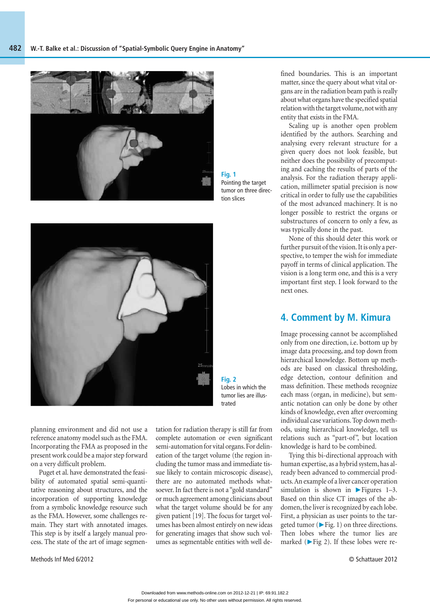

planning environment and did not use a reference anatomy model such as the FMA. Incorporating the FMA as proposed in the present work could be a major step forward on a very difficult problem.

Puget et al. have demonstrated the feasibility of automated spatial semi-quantitative reasoning about structures, and the incorporation of supporting knowledge from a symbolic knowledge resource such as the FMA. However, some challenges remain. They start with annotated images. This step is by itself a largely manual process. The state of the art of image segmen-

Methods Inf Med 6/2012 © Schattauer 2012

tation for radiation therapy is still far from complete automation or even significant semi-automation for vital organs. For delineation of the target volume (the region including the tumor mass and immediate tissue likely to contain microscopic disease), there are no automated methods whatsoever. In fact there is not a "gold standard" or much agreement among clinicians about what the target volume should be for any given patient [19]. The focus for target volumes has been almost entirely on new ideas for generating images that show such volumes as segmentable entities with well de-

**Fig. 2**

trated

Lobes in which the tumor lies are illus-

fined boundaries. This is an important matter, since the query about what vital organs are in the radiation beam path is really about what organs have the specified spatial relation with the target volume, not with any entity that exists in the FMA.

Scaling up is another open problem identified by the authors. Searching and analysing every relevant structure for a given query does not look feasible, but neither does the possibility of precomputing and caching the results of parts of the analysis. For the radiation therapy application, millimeter spatial precision is now critical in order to fully use the capabilities of the most advanced machinery. It is no longer possible to restrict the organs or substructures of concern to only a few, as was typically done in the past.

None of this should deter this work or further pursuit of the vision. It is only a perspective, to temper the wish for immediate payoff in terms of clinical application. The vision is a long term one, and this is a very important first step. I look forward to the next ones.

# **4.Comment by M. Kimura**

Image processing cannot be accomplished only from one direction, i.e. bottom up by image data processing, and top down from hierarchical knowledge. Bottom up methods are based on classical thresholding, edge detection, contour definition and mass definition. These methods recognize each mass (organ, in medicine), but semantic notation can only be done by other kinds of knowledge, even after overcoming individual case variations. Top down methods, using hierarchical knowledge, tell us relations such as "part-of", but location knowledge is hard to be combined.

Tying this bi-directional approach with human expertise, as a hybrid system, has already been advanced to commercial products. An example of a liver cancer operation simulation is shown in  $\blacktriangleright$  Figures 1–3. Based on thin slice CT images of the abdomen, the liver is recognized by each lobe. First, a physician as user points to the targeted tumor ( $\blacktriangleright$  Fig. 1) on three directions. Then lobes where the tumor lies are marked ( $\blacktriangleright$  Fig 2). If these lobes were re-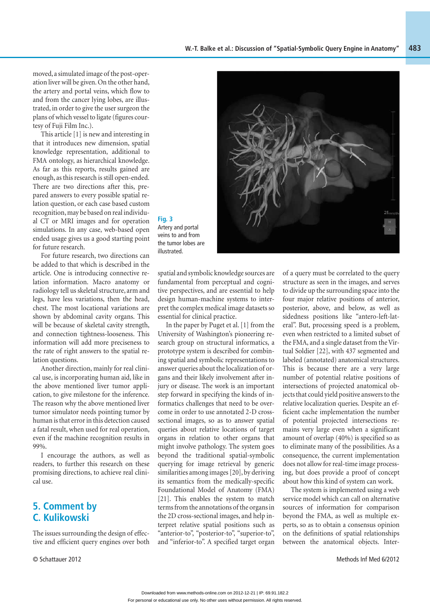moved, a simulated image of the post-operation liver will be given. On the other hand, the artery and portal veins, which flow to and from the cancer lying lobes, are illustrated, in order to give the user surgeon the plans of which vessel to ligate (figures courtesy of Fuji Film Inc.).

This article [1] is new and interesting in that it introduces new dimension, spatial knowledge representation, additional to FMA ontology, as hierarchical knowledge. As far as this reports, results gained are enough, as this research is still open-ended. There are two directions after this, prepared answers to every possible spatial relation question, or each case based custom recognition, may be based on real individual CT or MRI images and for operation simulations. In any case, web-based open ended usage gives us a good starting point for future research.

For future research, two directions can be added to that which is described in the article. One is introducing connective relation information. Macro anatomy or radiology tell us skeletal structure, arm and legs, have less variations, then the head, chest. The most locational variations are shown by abdominal cavity organs. This will be because of skeletal cavity strength, and connection tightness-looseness. This information will add more preciseness to the rate of right answers to the spatial relation questions.

Another direction, mainly for real clinical use, is incorporating human aid, like in the above mentioned liver tumor application, to give milestone for the inference. The reason why the above mentioned liver tumor simulator needs pointing tumor by human is that error in this detection caused a fatal result, when used for real operation, even if the machine recognition results in 99%.

I encourage the authors, as well as readers, to further this research on these promising directions, to achieve real clinical use.

# **5.Comment by C. Kulikowski**

The issues surrounding the design of effective and efficient query engines over both



spatial and symbolic knowledge sources are fundamental from perceptual and cognitive perspectives, and are essential to help design human-machine systems to interpret the complex medical image datasets so essential for clinical practice.

**Fig. 3**

illustrated.

Artery and portal

In the paper by Puget et al. [1] from the University of Washington's pioneering research group on structural informatics, a prototype system is described for combining spatial and symbolic representations to answer queries about the localization of organs and their likely involvement after injury or disease. The work is an important step forward in specifying the kinds of informatics challenges that need to be overcome in order to use annotated 2-D crosssectional images, so as to answer spatial queries about relative locations of target organs in relation to other organs that might involve pathology. The system goes beyond the traditional spatial-symbolic querying for image retrieval by generic similarities among images [20], by deriving its semantics from the medically-specific Foundational Model of Anatomy (FMA) [21]. This enables the system to match terms from the annotations of the organs in the 2D cross-sectional images, and help interpret relative spatial positions such as "anterior-to", "posterior-to", "superior-to", and "inferior-to". A specified target organ of a query must be correlated to the query structure as seen in the images, and serves to divide up the surrounding space into the four major relative positions of anterior, posterior, above, and below, as well as sidedness positions like "antero-left-lateral". But, processing speed is a problem, even when restricted to a limited subset of the FMA, and a single dataset from the Virtual Soldier [22], with 437 segmented and labeled (annotated) anatomical structures. This is because there are a very large number of potential relative positions of intersections of projected anatomical objects that could yield positive answers to the relative localization queries. Despite an efficient cache implementation the number of potential projected intersections remains very large even when a significant amount of overlap (40%) is specified so as to eliminate many of the possibilities. As a consequence, the current implementation does not allow for real-time image processing, but does provide a proof of concept about how this kind of system can work.

The system is implemented using a web service model which can call on alternative sources of information for comparison beyond the FMA, as well as multiple experts, so as to obtain a consensus opinion on the definitions of spatial relationships between the anatomical objects. Inter-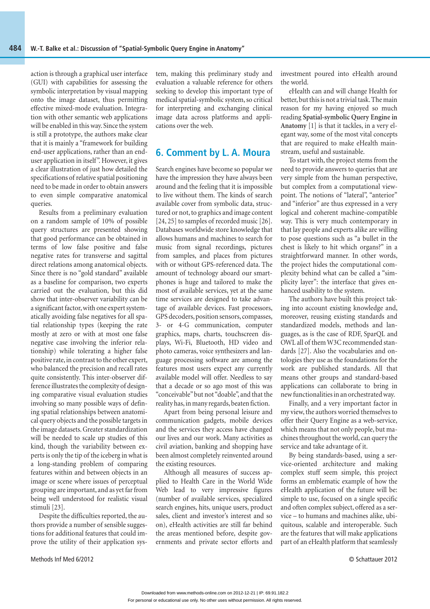action is through a graphical user interface (GUI) with capabilities for assessing the symbolic interpretation by visual mapping onto the image dataset, thus permitting effective mixed-mode evaluation. Integra tion with other semantic web applications will be enabled in this way. Since the system is still a prototype, the authors make clear that it is mainly a "framework for building end-user applications, rather than an enduser application in itself". However, it gives a clear illustration of just how detailed the specifications of relative spatial positioning need to be made in order to obtain answers to even simple comparative anatomical queries.

Results from a preliminary evaluation on a random sample of 10% of possible query structures are presented showing that good performance can be obtained in terms of low false positive and false negative rates for transverse and sagittal direct relations among anatomical objects. Since there is no "gold standard" available as a baseline for comparison, two experts carried out the evaluation, but this did show that inter-observer variability can be a significant factor, with one expert systematically avoiding false negatives for all spatial relationship types (keeping the rate mostly at zero or with at most one false negative case involving the inferior relationship) while tolerating a higher false positive rate, in contrast to the other expert, who balanced the precision and recall rates quite consistently. This inter-observer difference illustrates the complexity of designing comparative visual evaluation studies involving so many possible ways of defining spatial relationships between anatomical query objects and the possible targets in the image datasets. Greater standardization will be needed to scale up studies of this kind, though the variability between experts is only the tip of the iceberg in what is a long-standing problem of comparing features within and between objects in an image or scene where issues of perceptual grouping are important, and as yet far from being well understood for realistic visual stimuli [23].

Despite the difficulties reported, the authors provide a number of sensible suggestions for additional features that could improve the utility of their application system, making this preliminary study and evaluation a valuable reference for others seeking to develop this important type of medical spatial-symbolic system, so critical for interpreting and exchanging clinical image data across platforms and applications over the web.

# **6.Comment by L. A. Moura**

Search engines have become so popular we have the impression they have always been around and the feeling that it is impossible to live without them. The kinds of search available cover from symbolic data, structured or not, to graphics and image content [24, 25] to samples of recorded music [26]. Databases worldwide store knowledge that allows humans and machines to search for music from signal recordings, pictures from samples, and places from pictures with or without GPS-referenced data. The amount of technology aboard our smartphones is huge and tailored to make the most of available services, yet at the same time services are designed to take advantage of available devices. Fast processors, GPS decoders, position sensors, compasses, 3- or 4-G communication, computer graphics, maps, charts, touchscreen displays, Wi-Fi, Bluetooth, HD video and photo cameras, voice synthesizers and language processing software are among the features most users expect any currently available model will offer. Needless to say that a decade or so ago most of this was "conceivable" but not "doable", and that the reality has, in many regards, beaten fiction.

Apart from being personal leisure and communication gadgets, mobile devices and the services they access have changed our lives and our work. Many activities as civil aviation, banking and shopping have been almost completely reinvented around the existing resources.

Although all measures of success applied to Health Care in the World Wide Web lead to very impressive figures (number of available services, specialized search engines, hits, unique users, product sales, client and investor's interest and so on), eHealth activities are still far behind the areas mentioned before, despite governments and private sector efforts and

 investment poured into eHealth around the world.

eHealth can and will change Health for better, but this is not a trivial task. The main reason for my having enjoyed so much reading **Spatial-symbolic Query Engine in Anatomy** [1] is that it tackles, in a very elegant way, some of the most vital concepts that are required to make eHealth mainstream, useful and sustainable.

To start with, the project stems from the need to provide answers to queries that are very simple from the human perspective, but complex from a computational viewpoint. The notions of "lateral", "anterior" and "inferior" are thus expressed in a very logical and coherent machine-compatible way. This is very much contemporary in that lay people and experts alike are willing to pose questions such as "a bullet in the chest is likely to hit which organs?" in a straightforward manner. In other words, the project hides the computational complexity behind what can be called a "simplicity layer": the interface that gives enhanced usability to the system.

The authors have built this project taking into account existing knowledge and, moreover, reusing existing standards and standardized models, methods and languages, as is the case of RDF, SparQL and OWL all of them W3C recommended standards [27]. Also the vocabularies and ontologies they use as the foundations for the work are published standards. All that means other groups and standard-based applications can collaborate to bring in new functionalities in an orchestrated way.

Finally, and a very important factor in my view, the authors worried themselves to offer their Query Engine as a web-service, which means that not only people, but machines throughout the world, can query the service and take advantage of it.

By being standards-based, using a service-oriented architecture and making complex stuff seem simple, this project forms an emblematic example of how the eHealth application of the future will be: simple to use, focused on a single specific and often complex subject, offered as a service – to humans and machines alike, ubiquitous, scalable and interoperable. Such are the features that will make applications part of an eHealth platform that seamlessly

Methods Inf Med 6/2012 © Schattauer 2012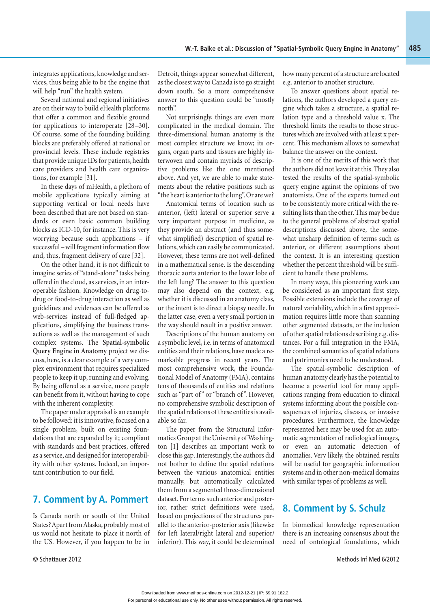integrates applications, knowledge and services, thus being able to be the engine that will help "run" the health system.

Several national and regional initiatives are on their way to build eHealth platforms that offer a common and flexible ground for applications to interoperate [28 –30]. Of course, some of the founding building blocks are preferably offered at national or provincial levels. These include registries that provide unique IDs for patients, health care providers and health care organizations, for example [31].

In these days of mHealth, a plethora of mobile applications typically aiming at supporting vertical or local needs have been described that are not based on standards or even basic common building blocks as ICD-10, for instance. This is very worrying because such applications – if successful – will fragment information flow and, thus, fragment delivery of care [32].

On the other hand, it is not difficult to imagine series of "stand-alone" tasks being offered in the cloud, as services, in an interoperable fashion. Knowledge on drug-todrug or food-to-drug interaction as well as guidelines and evidences can be offered as web-services instead of full-fledged applications, simplifying the business transactions as well as the management of such complex systems. The **Spatial-symbolic Query Engine in Anatomy** project we discuss, here, is a clear example of a very complex environment that requires specialized people to keep it up, running and evolving. By being offered as a service, more people can benefit from it, without having to cope with the inherent complexity.

The paper under appraisal is an example to be followed: it is innovative, focused on a single problem, built on existing foundations that are expanded by it; compliant with standards and best practices, offered as a service, and designed for interoperability with other systems. Indeed, an important contribution to our field.

### **7. Comment by A. Pommert**

Is Canada north or south of the United States? Apart from Alaska, probably most of us would not hesitate to place it north of the US. However, if you happen to be in

Detroit, things appear somewhat different, as the closest way to Canada is to go straight down south. So a more comprehensive answer to this question could be "mostly north".

Not surprisingly, things are even more complicated in the medical domain. The three-dimensional human anatomy is the most complex structure we know; its organs, organ parts and tissues are highly interwoven and contain myriads of descriptive problems like the one mentioned above. And yet, we are able to make statements about the relative positions such as "the heart is anterior to the lung". Or are we?

Anatomical terms of location such as anterior, (left) lateral or superior serve a very important purpose in medicine, as they provide an abstract (and thus somewhat simplified) description of spatial relations, which can easily be communicated. However, these terms are not well-defined in a mathematical sense. Is the descending thoracic aorta anterior to the lower lobe of the left lung? The answer to this question may also depend on the context, e.g. whether it is discussed in an anatomy class, or the intent is to direct a biopsy needle. In the latter case, even a very small portion in the way should result in a positive answer.

Descriptions of the human anatomy on a symbolic level, i.e. in terms of anatomical entities and their relations, have made a remarkable progress in recent years. The most comprehensive work, the Foundational Model of Anatomy (FMA), contains tens of thousands of entities and relations such as "part of" or "branch of". However, no comprehensive symbolic description of the spatial relations of these entities is available so far.

The paper from the Structural Informatics Group at the University of Washington [1] describes an important work to close this gap. Interestingly, the authors did not bother to define the spatial relations between the various anatomical entities manually, but automatically calculated them from a segmented three-dimensional dataset. For terms such anterior and posterior, rather strict definitions were used, based on projections of the structures parallel to the anterior-posterior axis (likewise for left lateral/right lateral and superior/ inferior). This way, it could be determined how many percent of a structure are located e.g. anterior to another structure.

To answer questions about spatial relations, the authors developed a query engine which takes a structure, a spatial relation type and a threshold value x. The threshold limits the results to those structures which are involved with at least x percent. This mechanism allows to somewhat balance the answer on the context.

It is one of the merits of this work that the authors did not leave it at this. They also tested the results of the spatial-symbolic query engine against the opinions of two anatomists. One of the experts turned out to be consistently more critical with the resulting lists than the other. This may be due to the general problems of abstract spatial descriptions discussed above, the somewhat unsharp definition of terms such as anterior, or different assumptions about the context. It is an interesting question whether the percent threshold will be sufficient to handle these problems.

In many ways, this pioneering work can be considered as an important first step. Possible extensions include the coverage of natural variability, which in a first approximation requires little more than scanning other segmented datasets, or the inclusion of other spatial relations describing e.g. distances. For a full integration in the FMA, the combined semantics of spatial relations and patrimonies need to be understood.

The spatial-symbolic description of human anatomy clearly has the potential to become a powerful tool for many applications ranging from education to clinical systems informing about the possible consequences of injuries, diseases, or invasive procedures. Furthermore, the knowledge represented here may be used for an automatic segmentation of radiological images, or even an automatic detection of anomalies. Very likely, the obtained results will be useful for geographic information systems and in other non-medical domains with similar types of problems as well.

## **8. Comment by S. Schulz**

In biomedical knowledge representation there is an increasing consensus about the need of ontological foundations, which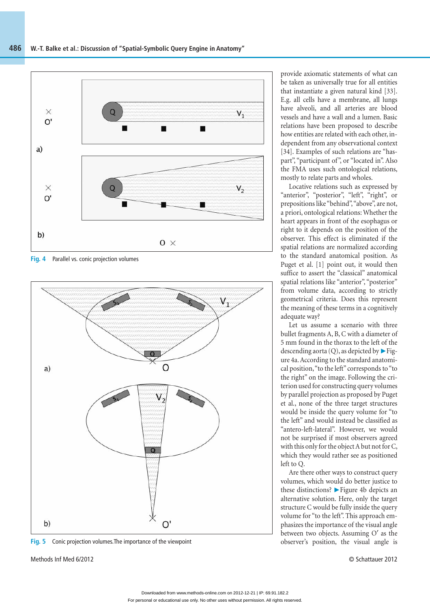

**Fig. 4** Parallel vs. conic projection volumes



**Fig. 5** Conic projection volumes.The importance of the viewpoint **our content of the visual** angle is

Methods Inf Med 6/2012 © Schattauer 2012

provide axiomatic statements of what can be taken as universally true for all entities that instantiate a given natural kind [33]. E.g. all cells have a membrane, all lungs have alveoli, and all arteries are blood vessels and have a wall and a lumen. Basic relations have been proposed to describe how entities are related with each other, independent from any observational context [34]. Examples of such relations are "haspart", "participant of", or "located in". Also the FMA uses such ontological relations, mostly to relate parts and wholes.

Locative relations such as expressed by "anterior", "posterior", "left", "right", or prepositions like "behind", "above", are not, a priori, ontological relations: Whether the heart appears in front of the esophagus or right to it depends on the position of the observer. This effect is eliminated if the spatial relations are normalized according to the standard anatomical position. As Puget et al. [1] point out, it would then suffice to assert the "classical" anatomical spatial relations like "anterior", "posterior" from volume data, according to strictly geometrical criteria. Does this represent the meaning of these terms in a cognitively adequate way?

Let us assume a scenario with three bullet fragments A, B, C with a diameter of 5 mm found in the thorax to the left of the descending aorta (Q), as depicted by  $\blacktriangleright$  Figure 4a. According to the standard anatomical position, "to the left" corresponds to "to the right" on the image. Following the criterion used for constructing query volumes by parallel projection as proposed by Puget et al., none of the three target structures would be inside the query volume for "to the left" and would instead be classified as "antero-left-lateral". However, we would not be surprised if most observers agreed with this only for the object A but not for C, which they would rather see as positioned left to Q.

Are there other ways to construct query volumes, which would do better justice to these distinctions?  $\triangleright$  Figure 4b depicts an alternative solution. Here, only the target structure C would be fully inside the query volume for "to the left". This approach emphasizes the importance of the visual angle between two objects. Assuming O′ as the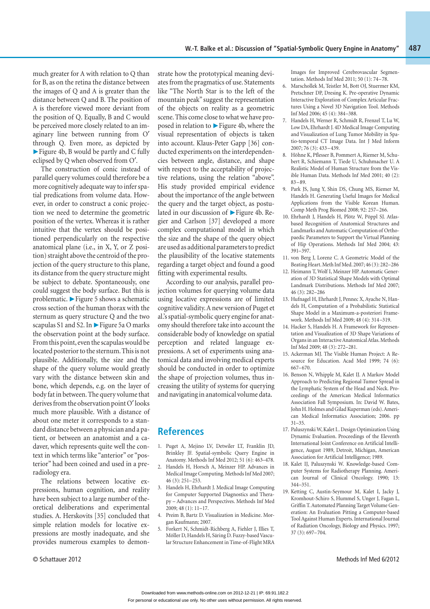much greater for A with relation to Q than for B, as on the retina the distance between the images of Q and A is greater than the distance between Q and B. The position of A is therefore viewed more deviant from the position of Q. Equally, B and C would be perceived more closely related to an imaginary line between running from O′ through Q. Even more, as depicted by ► Figure 4b, B would be partly and C fully eclipsed by Q when observed from O′.

The construction of conic instead of parallel query volumes could therefore be a more cognitively adequate way to infer spatial predications from volume data. However, in order to construct a conic projection we need to determine the geometric position of the vertex. Whereas it is rather intuitive that the vertex should be positioned perpendicularly on the respective anatomical plane (i.e., in X, Y, or Z position) straight above the centroid of the projection of the query structure to this plane, its distance from the query structure might be subject to debate. Spontaneously, one could suggest the body surface. But this is problematic. ► Figure 5 shows a schematic cross section of the human thorax with the sternum as query structure Q and the two scapulas S1 and S2. In  $\blacktriangleright$  Figure 5a O marks the observation point at the body surface. From this point, even the scapulas would be located posterior to the sternum. This is not plausible. Additionally, the size and the shape of the query volume would greatly vary with the distance between skin and bone, which depends, e.g. on the layer of body fat in between. The query volume that derives from the observation point O′ looks much more plausible. With a distance of about one meter it corresponds to a standard distance between a physician and a patient, or between an anatomist and a cadaver, which represents quite well the context in which terms like "anterior" or "posterior" had been coined and used in a preradiology era.

The relations between locative expressions, human cognition, and reality have been subject to a large number of theoretical deliberations and experimental studies. A. Herskovits [35] concluded that simple relation models for locative expressions are mostly inadequate, and she provides numerous examples to demon-

tive relations, using the relation "above". His study provided empirical evidence about the importance of the angle between the query and the target object, as postulated in our discussion of ▶Figure 4b. Regier and Carlson [37] developed a more complex computational model in which the size and the shape of the query object are used as additional parameters to predict the plausibility of the locative statements regarding a target object and found a good fitting with experimental results. According to our analysis, parallel projection volumes for querying volume data

using locative expressions are of limited cognitive validity. A new version of Puget et al.'s spatial-symbolic query engine for anatomy should therefore take into account the considerable body of knowledge on spatial perception and related language expressions. A set of experiments using anatomical data and involving medical experts should be conducted in order to optimize the shape of projection volumes, thus increasing the utility of systems for querying and navigating in anatomical volume data.

strate how the prototypical meaning deviates from the pragmatics of use. Statements like "The North Star is to the left of the mountain peak" suggest the representation of the objects on reality as a geometric scene. This come close to what we have proposed in relation to  $\blacktriangleright$  Figure 4b, where the visual representation of objects is taken into account. Klaus-Peter Gapp [36] conducted experiments on the interdependencies between angle, distance, and shape with respect to the acceptability of projec-

# **References**

- 1. Puget A, Mejino LV, Detwiler LT, Franklin JD, Brinkley JF. Spatial-symbolic Query Engine in Anatomy. Methods Inf Med 2012; 51 (6): 463–478.
- 2. Handels H, Horsch A, Meinzer HP. Advances in Medical Image Computing. Methods Inf Med 2007; 46 (3): 251– 253.
- 3. Handels H, Ehrhardt J. Medical Image Computing for Computer Supported Diagnostics and Thera py – Advances and Perspectives. Methods Inf Med 2009; 48 (1): 11– 17.
- 4. Preim B, Bartz D. Visualization in Medicine. Morgan Kaufmann; 2007.
- 5. Forkert N, Schmidt-Richberg A, Fiehler J, Illies T, Möller D, Handels H, Säring D. Fuzzy-based Vascular Structure Enhancement in Time-of-Flight MRA

Images for Improved Cerebrovascular Segmentation. Methods Inf Med 2011; 50 (1): 74 – 78.

- 6. Marschollek M, Teistler M, Bott OJ, Stuermer KM, Pretschner DP, Dresing K. Pre-operative Dynamic Interactive Exploration of Complex Articular Fractures Using a Novel 3D Navigation Tool. Methods Inf Med 2006; 45 (4): 384 –388.
- 7. Handels H, Werner R, Schmidt R, Frenzel T, Lu W, Low DA, Ehrhardt J. 4D Medical Image Computing and Visualization of Lung Tumor Mobility in Spatio-temporal CT Image Data. Int J Med Inform 2007; 76 (3): 433 – 439.
- 8. Höhne K, Pflesser B, Pommert A, Riemer M, Schubert R, Schiemann T, Tiede U, Schuhmacher U. A Realistic Model of Human Structure from the Visible Human Data. Methods Inf Med 2001; 40 (2):  $83 - 89.$
- 9. Park JS, Jung Y, Shin DS, Chung MS, Riemer M, Handels H. Generating Useful Images for Medical Applications from the Visible Korean Human. Comp Meth Prog Biomed 2008; 92: 257– 266.
- 10. Ehrhardt J, Handels H, Plötz W, Pöppl SJ. Atlasbased Recognition of Anatomical Structures and Landmarks and Automatic Computation of Orthopaedic Parameters to Support the Virtual Planning of Hip Operations. Methods Inf Med 2004; 43: 391– 397.
- 11. von Berg J, Lorenz C. A Geometric Model of the Beating Heart. Meth Inf Med. 2007; 46 (3): 282– 286
- 12. Heimann T, Wolf I, Meinzer HP. Automatic Generation of 3D Statistical Shape Models with Optimal Landmark Distributions. Methods Inf Med 2007; 46 (3): 282– 286
- 13. Hufnagel H, Ehrhardt J, Pennec X, Ayache N, Handels H, Computation of a Probabilistic Statistical Shape Model in a Maximum-a-posteriori Framework. Methods Inf Med 2009; 48 (4): 314 –319.
- 14. Hacker S, Handels H. A Framework for Representation and Visualization of 3D Shape Variations of Organs in an Interactive Anatomical Atlas. Methods Inf Med 2009; 48 (3): 272– 281.
- 15. Ackerman MJ. The Visible Human Project: A Resource for Education. Acad Med 1999; 74 (6): 667– 670.
- 16. Benson N, Whipple M, Kalet IJ. A Markov Model Approach to Predicting Regional Tumor Spread in the Lymphatic System of the Head and Neck. Proceedings of the American Medical Informatics Association Fall Symposium. In: David W. Bates, John H. Holmes and Gilad Kuperman (eds). American Medical Informatics Association; 2006. pp 31–35.
- 17. Paluszynski W, Kalet I.. Design Optimization Using Dynamic Evaluation. Proceedings of the Eleventh International Joint Conference on Artificial Intelligence, August 1989, Detroit, Michigan, American Association for Artificial Intelligence; 1989.
- 18. Kalet IJ, Paluszynski W. Knowledge-based Computer Systems for Radiotherapy Planning. American Journal of Clinical Oncology. 1990; 13: 344 –351.
- 19. Ketting C, Austin-Seymour M, Kalet I, Jacky J, Kromhout-Schiro S, Hummel S, Unger J, Fagan L, Griffin T. Automated Planning Target Volume Generation: An Evaluation Pitting a Computer-based Tool Against Human Experts. International Journal of Radiation Oncology, Biology and Physics. 1997; 37 (3): 697– 704.